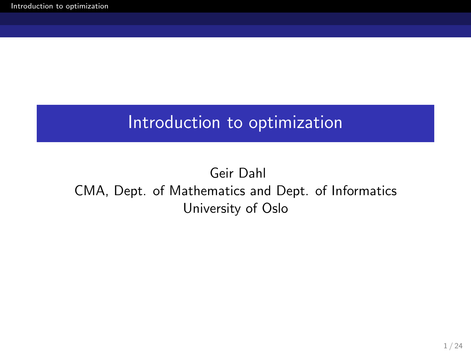## <span id="page-0-0"></span>Introduction to optimization

## Geir Dahl CMA, Dept. of Mathematics and Dept. of Informatics University of Oslo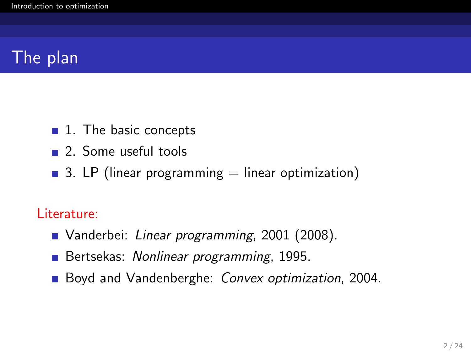# The plan

- $\blacksquare$  1. The basic concepts
- 2. Some useful tools
- 3. LP (linear programming  $=$  linear optimization)

#### Literature:

- Vanderbei: Linear programming, 2001 (2008).
- Bertsekas: Nonlinear programming, 1995.
- Boyd and Vandenberghe: Convex optimization, 2004.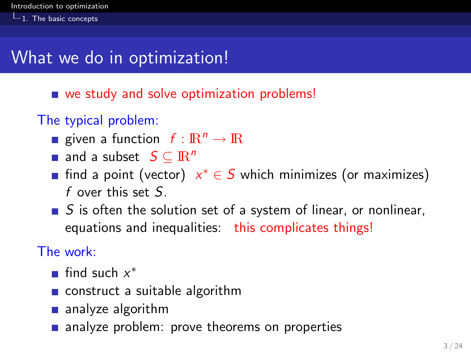$-1$ . The basic concepts

## What we do in optimization!

- we study and solve optimization problems!
- The typical problem:
	- given a function  $f: \mathbb{R}^n \to \mathbb{R}$
	- **and a subset**  $S \subseteq \mathbb{R}^n$
	- find a point (vector)  $x^* \in S$  which minimizes (or maximizes) f over this set  $S$ .
	- $\blacksquare$  S is often the solution set of a system of linear, or nonlinear, equations and inequalities: this complicates things!

The work:

- find such  $x^*$
- construct a suitable algorithm
- analyze algorithm
- analyze problem: prove theorems on properties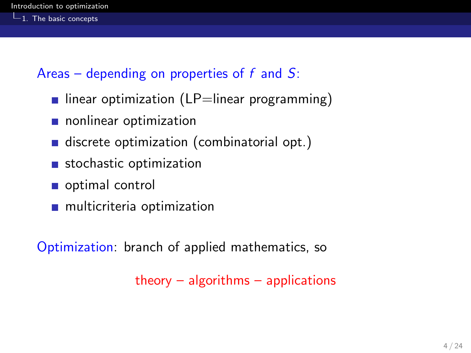Areas – depending on properties of  $f$  and  $S$ :

- linear optimization (LP=linear programming)
- nonlinear optimization
- discrete optimization (combinatorial opt.)
- stochastic optimization
- optimal control
- **n** multicriteria optimization

Optimization: branch of applied mathematics, so

theory  $-$  algorithms  $-$  applications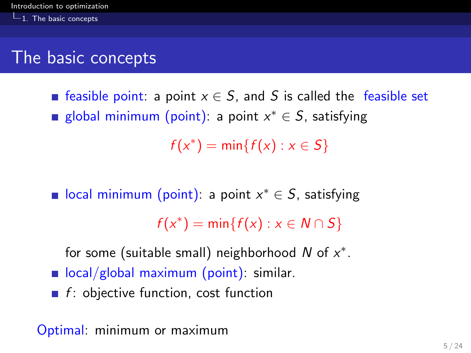## The basic concepts

**Example 5 Feasible point:** a point  $x \in S$ , and S is called the feasible set global minimum (point): a point  $x^* \in S$ , satisfying

 $f(x^*) = \min\{f(x) : x \in S\}$ 

local minimum (point): a point  $x^* \in S$ , satisfying  $f(x^*) = \min\{f(x) : x \in N \cap S\}$ 

for some (suitable small) neighborhood N of  $x^*$ .

- $\blacksquare$  local/global maximum (point): similar.
- $\blacksquare$  f: objective function, cost function

Optimal: minimum or maximum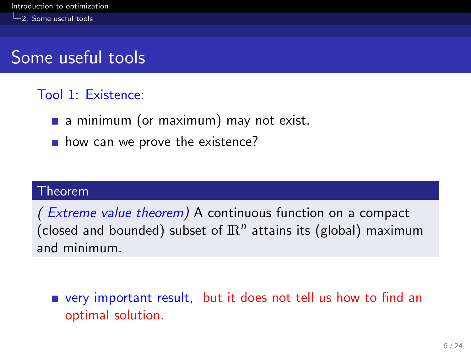## Some useful tools

### Tool 1: Existence:

- a minimum (or maximum) may not exist.
- $\blacksquare$  how can we prove the existence?

#### Theorem

( Extreme value theorem) A continuous function on a compact (closed and bounded) subset of  $\mathbb{R}^n$  attains its (global) maximum and minimum.

very important result, but it does not tell us how to find an optimal solution.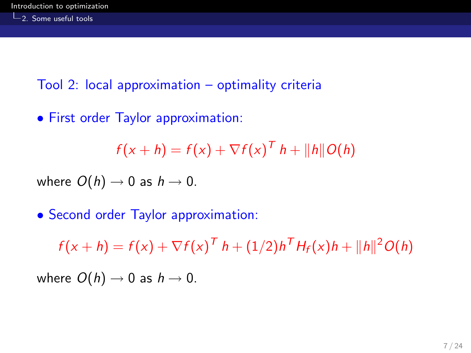Tool 2: local approximation – optimality criteria

• First order Taylor approximation:

$$
f(x+h) = f(x) + \nabla f(x)^T h + ||h|| O(h)
$$

where  $O(h) \rightarrow 0$  as  $h \rightarrow 0$ .

• Second order Taylor approximation:

 $f(x+h) = f(x) + \nabla f(x)^T h + (1/2)h^T H_f(x)h + ||h||^2 O(h)$ 

where  $O(h) \rightarrow 0$  as  $h \rightarrow 0$ .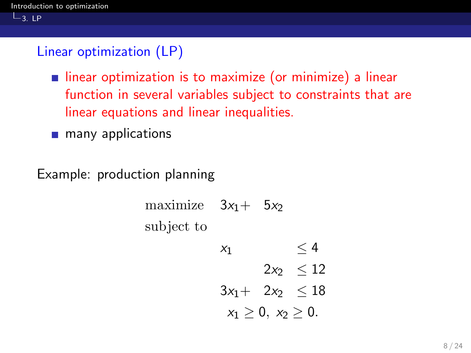#### $L_{3.}$  LP

### Linear optimization (LP)

- **Indem** intear optimization is to maximize (or minimize) a linear function in several variables subject to constraints that are linear equations and linear inequalities.
- **n** many applications

Example: production planning

maximize 
$$
3x_1 + 5x_2
$$
  
\nsubject to  
\n $x_1 \leq 4$   
\n $2x_2 \leq 12$   
\n $3x_1 + 2x_2 \leq 18$   
\n $x_1 \geq 0, x_2 \geq 0.$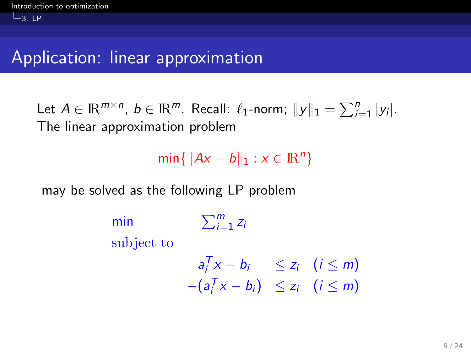$L_{3.}$  LP

## Application: linear approximation

Let  $A \in \mathbb{R}^{m \times n}$ ,  $b \in \mathbb{R}^m$ . Recall:  $\ell_1$ -norm;  $||y||_1 = \sum_{i=1}^n |y_i|$ . The linear approximation problem

 $\min\{\|Ax - b\|_1 : x \in \mathbb{R}^n\}$ 

may be solved as the following LP problem

```
min \sum_{i=1}^{m} z_isubject to
                  a_i^Tx - b_i \leq z_i \quad (i \leq m)-(a_i^Tx - b_i) \leq z_i \quad (i \leq m)
```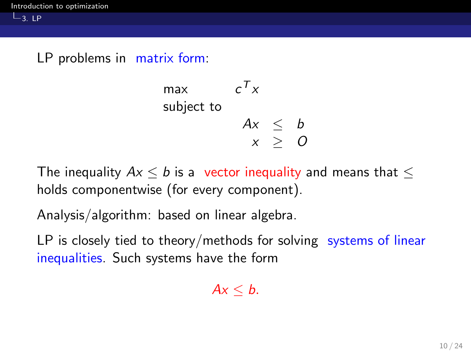#### LP problems in matrix form:

$$
\begin{array}{ll}\n\text{max} & c^T x \\
\text{subject to} & \\
 & Ax \leq b \\
 & x \geq 0\n\end{array}
$$

The inequality  $Ax \leq b$  is a vector inequality and means that  $\leq$ holds componentwise (for every component).

Analysis/algorithm: based on linear algebra.

LP is closely tied to theory/methods for solving systems of linear inequalities. Such systems have the form

$$
Ax\leq b.
$$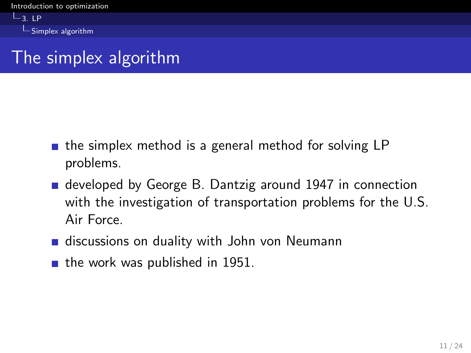$-3.1P$  $L$ Simplex algorithm

# The simplex algorithm

- $\blacksquare$  the simplex method is a general method for solving LP problems.
- developed by George B. Dantzig around 1947 in connection with the investigation of transportation problems for the U.S. Air Force.
- discussions on duality with John von Neumann
- $\blacksquare$  the work was published in 1951.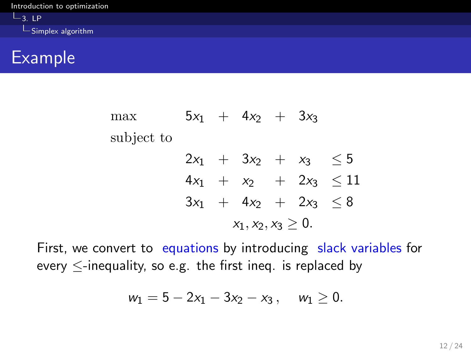## Example

max  $5x_1 + 4x_2 + 3x_3$ subject to  $2x_1 + 3x_2 + x_3 \leq 5$  $4x_1 + x_2 + 2x_3 \leq 11$  $3x_1 + 4x_2 + 2x_3 < 8$  $x_1, x_2, x_3 \geq 0.$ 

First, we convert to equations by introducing slack variables for every  $\leq$ -inequality, so e.g. the first ineq. is replaced by

$$
w_1=5-2x_1-3x_2-x_3\,,\quad w_1\geq 0.
$$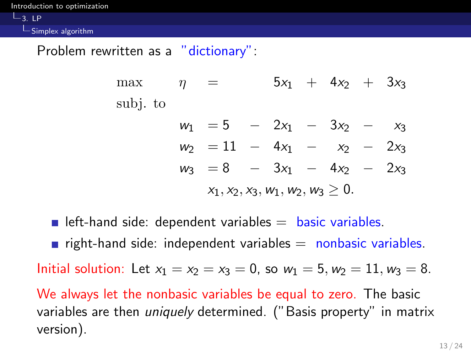[Introduction to optimization](#page-0-0)

 $-3.1P$ 

Simplex algorithm

Problem rewritten as a "dictionary":

max  $\eta = 5x_1 + 4x_2 + 3x_3$ subj. to

|                                        | $w_1 = 5 - 2x_1 - 3x_2 - x_3$  |  |  |  |  |  |  |
|----------------------------------------|--------------------------------|--|--|--|--|--|--|
|                                        | $w_2 = 11 - 4x_1 - x_2 - 2x_3$ |  |  |  |  |  |  |
|                                        | $w_3 = 8 - 3x_1 - 4x_2 - 2x_3$ |  |  |  |  |  |  |
| $x_1, x_2, x_3, w_1, w_2, w_3 \geq 0.$ |                                |  |  |  |  |  |  |

left-hand side: dependent variables  $=$  basic variables. **right-hand side: independent variables**  $=$  **nonbasic variables.** Initial solution: Let  $x_1 = x_2 = x_3 = 0$ , so  $w_1 = 5, w_2 = 11, w_3 = 8$ . We always let the nonbasic variables be equal to zero. The basic variables are then *uniquely* determined. ("Basis property" in matrix version).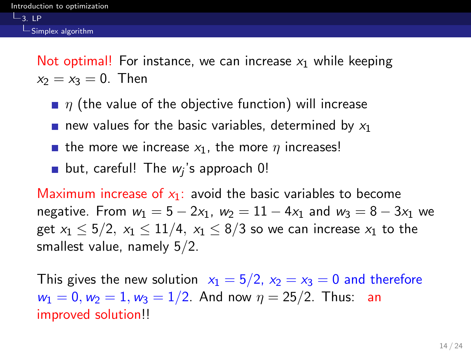$-3.1P$ 

Not optimal! For instance, we can increase  $x_1$  while keeping  $x_2 = x_3 = 0$ . Then

- $\blacksquare$   $\eta$  (the value of the objective function) will increase
- new values for the basic variables, determined by  $x_1$
- **the more we increase**  $x_1$ **, the more**  $\eta$  **increases!**
- but, careful! The  $w_j$ 's approach  $0!$

Maximum increase of  $x_1$ : avoid the basic variables to become negative. From  $w_1 = 5 - 2x_1$ ,  $w_2 = 11 - 4x_1$  and  $w_3 = 8 - 3x_1$  we get  $x_1 < 5/2$ ,  $x_1 < 11/4$ ,  $x_1 < 8/3$  so we can increase  $x_1$  to the smallest value, namely 5/2.

This gives the new solution  $x_1 = 5/2$ ,  $x_2 = x_3 = 0$  and therefore  $w_1 = 0, w_2 = 1, w_3 = 1/2$ . And now  $\eta = 25/2$ . Thus: an improved solution!!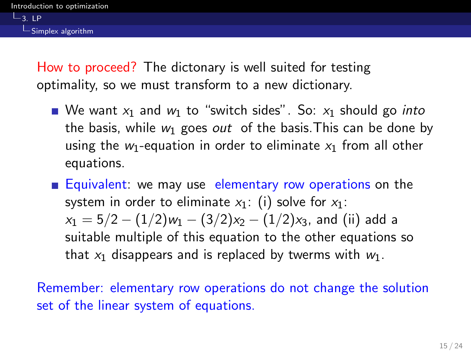How to proceed? The dictonary is well suited for testing optimality, so we must transform to a new dictionary.

- We want  $x_1$  and  $w_1$  to "switch sides". So:  $x_1$  should go *into* the basis, while  $w_1$  goes out of the basis. This can be done by using the  $w_1$ -equation in order to eliminate  $x_1$  from all other equations.
- **Equivalent:** we may use elementary row operations on the system in order to eliminate  $x_1$ : (i) solve for  $x_1$ :  $x_1 = 5/2 - (1/2)w_1 - (3/2)x_2 - (1/2)x_3$ , and (ii) add a suitable multiple of this equation to the other equations so that  $x_1$  disappears and is replaced by twerms with  $w_1$ .

Remember: elementary row operations do not change the solution set of the linear system of equations.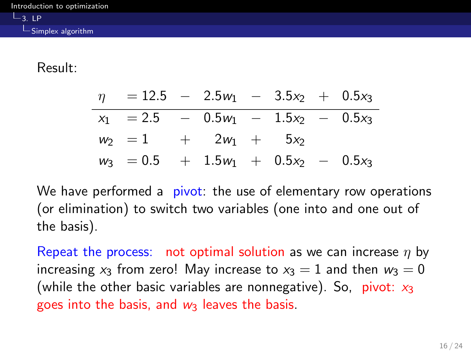#### Result:

| $\eta$ = 12.5 - 2.5 $w_1$ - 3.5 $x_2$ + 0.5 $x_3$ |  |  |  |
|---------------------------------------------------|--|--|--|
| $x_1$ = 2.5 - 0.5 $w_1$ - 1.5 $x_2$ - 0.5 $x_3$   |  |  |  |
| $w_2 = 1 + 2w_1 + 5x_2$                           |  |  |  |
| $w_3 = 0.5 + 1.5w_1 + 0.5x_2 - 0.5x_3$            |  |  |  |

We have performed a pivot: the use of elementary row operations (or elimination) to switch two variables (one into and one out of the basis).

Repeat the process: not optimal solution as we can increase  $\eta$  by increasing  $x_3$  from zero! May increase to  $x_3 = 1$  and then  $w_3 = 0$ (while the other basic variables are nonnegative). So, pivot:  $x_3$ goes into the basis, and  $w_3$  leaves the basis.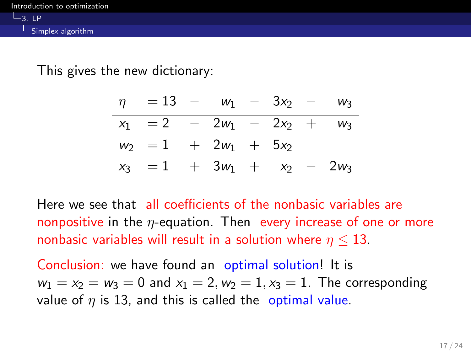This gives the new dictionary:

| $\eta = 13 - w_1 - 3x_2 - w_3$ |  |  |  |
|--------------------------------|--|--|--|
| $x_1 = 2 - 2w_1 - 2x_2 + w_3$  |  |  |  |
| $w_2 = 1 + 2w_1 + 5x_2$        |  |  |  |
| $x_3 = 1 + 3w_1 + x_2 - 2w_3$  |  |  |  |

Here we see that all coefficients of the nonbasic variables are nonpositive in the  $\eta$ -equation. Then every increase of one or more nonbasic variables will result in a solution where  $n \leq 13$ .

Conclusion: we have found an optimal solution! It is  $w_1 = x_2 = w_3 = 0$  and  $x_1 = 2, w_2 = 1, x_3 = 1$ . The corresponding value of  $\eta$  is 13, and this is called the optimal value.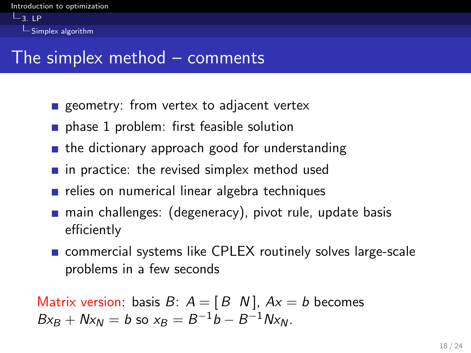$-3.1P$ Simplex algorithm

## The simplex method – comments

- geometry: from vertex to adjacent vertex
- phase 1 problem: first feasible solution
- $\blacksquare$  the dictionary approach good for understanding
- $\blacksquare$  in practice: the revised simplex method used
- $\blacksquare$  relies on numerical linear algebra techniques
- **n** main challenges: (degeneracy), pivot rule, update basis efficiently
- **Example 20 commercial systems like CPLEX routinely solves large-scale** problems in a few seconds

Matrix version: basis  $B: A = [B \ N]$ ,  $Ax = b$  becomes  $Bx_B + Nx_N = b$  so  $x_B = B^{-1}b - B^{-1}Nx_N$ .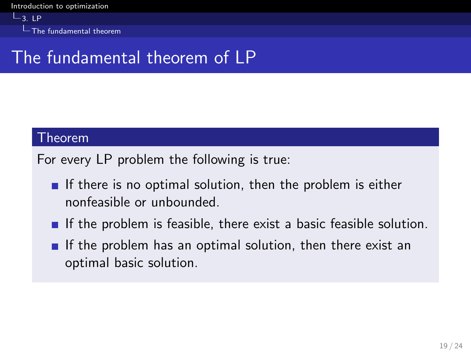$-3.1P$ **L** The fundamental theorem

# The fundamental theorem of LP

#### Theorem

For every LP problem the following is true:

- If there is no optimal solution, then the problem is either nonfeasible or unbounded.
- If the problem is feasible, there exist a basic feasible solution.
- If the problem has an optimal solution, then there exist an optimal basic solution.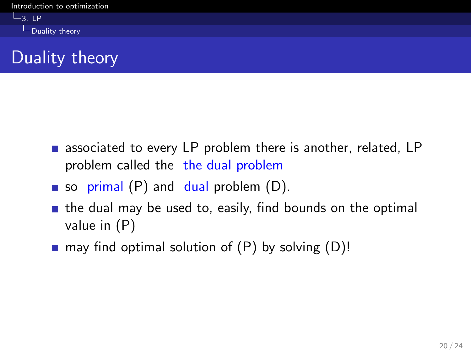

- **associated to every LP problem there is another, related, LP** problem called the the dual problem
- so primal  $(P)$  and dual problem  $(D)$ .
- $\blacksquare$  the dual may be used to, easily, find bounds on the optimal value in (P)
- **n** may find optimal solution of  $(P)$  by solving  $(D)!$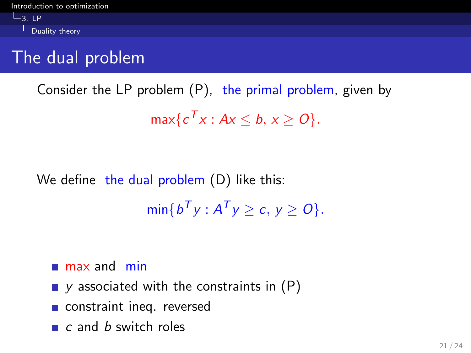$\n *Duality*$  theory

# The dual problem

Consider the LP problem (P), the primal problem, given by  $\max\{c^T x : Ax \leq b, x \geq 0\}.$ 

# We define the dual problem (D) like this:  $\min\{b^T y : A^T y \ge c, y \ge 0\}.$

- $m$  max and min
- $\blacksquare$  y associated with the constraints in  $(P)$
- constraint ineq. reversed
- $\blacksquare$  c and b switch roles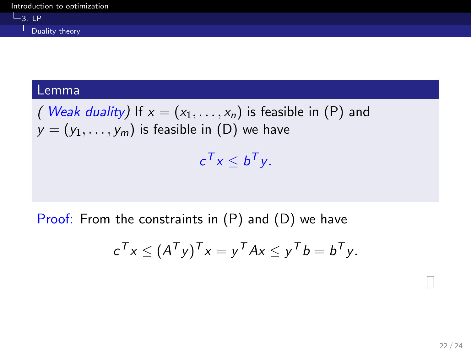#### Lemma

( Weak duality) If  $x = (x_1, \ldots, x_n)$  is feasible in (P) and  $y = (y_1, \ldots, y_m)$  is feasible in (D) we have  $c^{\mathcal{T}}x\leq b^{\mathcal{T}}y.$ 

Proof: From the constraints in (P) and (D) we have

$$
c^{\mathsf{T}} x \leq (A^{\mathsf{T}} y)^{\mathsf{T}} x = y^{\mathsf{T}} A x \leq y^{\mathsf{T}} b = b^{\mathsf{T}} y.
$$

 $\Box$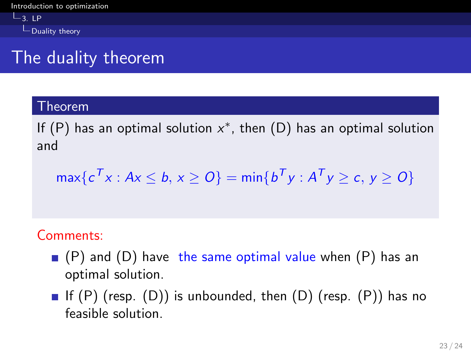$L_{3.}$  LP  $\n *Duality*$  theory

# The duality theorem

#### Theorem

If  $(P)$  has an optimal solution  $x^*$ , then  $(D)$  has an optimal solution and

$$
\max\{c^T x : Ax \leq b, x \geq 0\} = \min\{b^T y : A^T y \geq c, y \geq 0\}
$$

### Comments:

- $( P )$  and (D) have the same optimal value when  $( P )$  has an optimal solution.
- If  $(P)$  (resp.  $(D)$ ) is unbounded, then  $(D)$  (resp.  $(P)$ ) has no feasible solution.